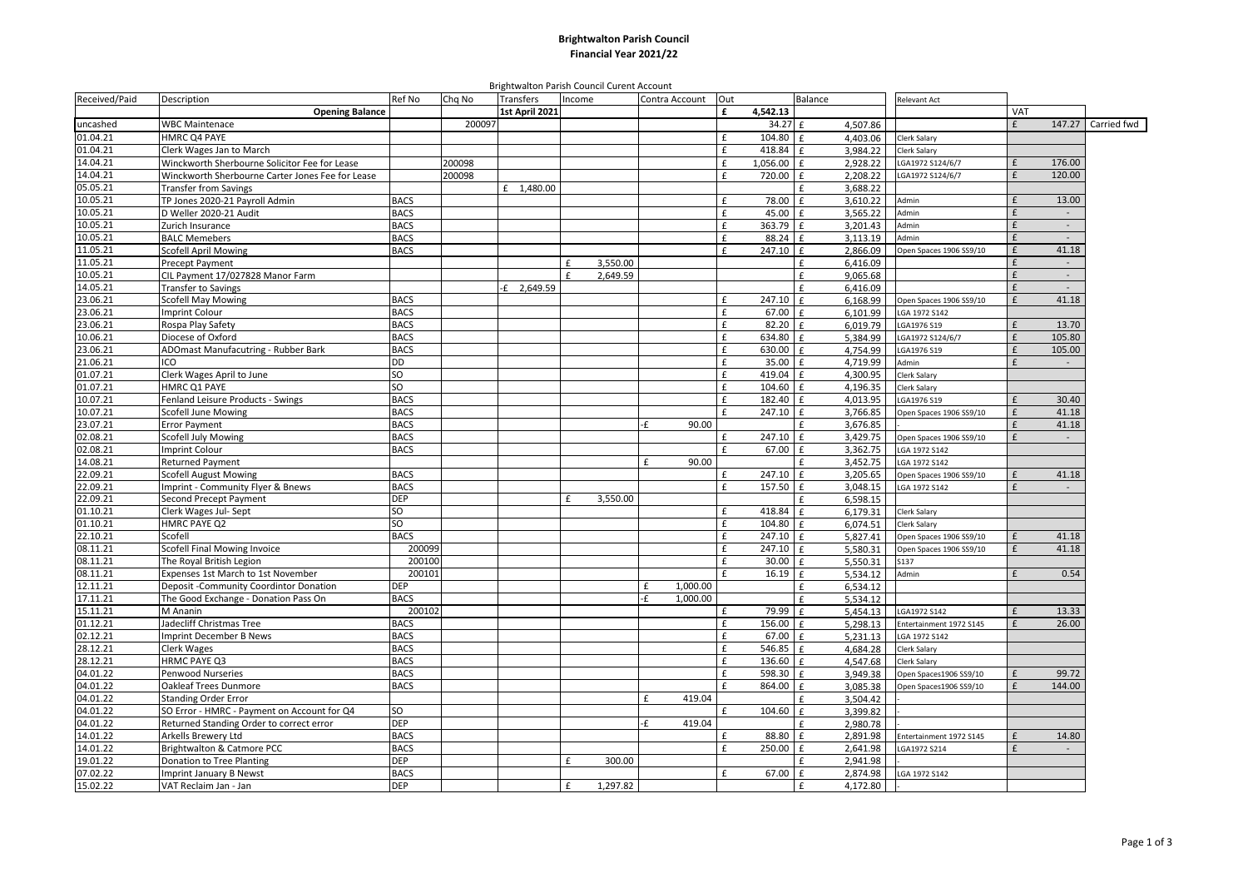## **Brightwalton Parish Council Financial Year 2021/22**

Brightwalton Parish Council Curent Account

| Received/Paid        | Description                                              | Ref No                | Chq No | Transfers      | Income       |          | Contra Account | Out         | Balance       |                      | Relevant Act                 |            |                          |             |
|----------------------|----------------------------------------------------------|-----------------------|--------|----------------|--------------|----------|----------------|-------------|---------------|----------------------|------------------------------|------------|--------------------------|-------------|
|                      | <b>Opening Balance</b>                                   |                       |        | 1st April 2021 |              |          |                | £           | 4,542.13      |                      |                              | <b>VAT</b> |                          |             |
| uncashed             | <b>WBC Maintenace</b>                                    |                       | 200097 |                |              |          |                |             | 34.27<br>f    | 4.507.86             |                              | £          | 147.27                   | Carried fwd |
| 01.04.21             | <b>HMRC Q4 PAYE</b>                                      |                       |        |                |              |          |                | £           | 104.80<br>£   | 4,403.06             | Clerk Salary                 |            |                          |             |
| 01.04.21             | Clerk Wages Jan to March                                 |                       |        |                |              |          |                | £           | 418.84<br>£   | 3.984.22             | <b>Clerk Salary</b>          |            |                          |             |
| 14.04.21             | Winckworth Sherbourne Solicitor Fee for Lease            |                       | 200098 |                |              |          |                | £           | 1,056.00<br>£ | 2,928.22             | LGA1972 S124/6/7             | £          | 176.00                   |             |
| 14.04.21             | Winckworth Sherbourne Carter Jones Fee for Lease         |                       | 200098 |                |              |          |                | f           | £<br>720.00   | 2,208.22             | LGA1972 S124/6/7             | £          | 120.00                   |             |
| 05.05.21             | <b>Transfer from Savings</b>                             |                       |        | £ 1,480.00     |              |          |                |             | ŧ.            | 3,688.22             |                              |            |                          |             |
| 10.05.21             | TP Jones 2020-21 Payroll Admin                           | <b>BACS</b>           |        |                |              |          |                | £           | 78.00<br>£    | 3,610.22             | Admin                        | £          | 13.00                    |             |
| 10.05.21             | D Weller 2020-21 Audit                                   | <b>BACS</b>           |        |                |              |          |                | £           | £<br>45.00    | 3,565.22             | Admin                        | £          | $\overline{\phantom{a}}$ |             |
| 10.05.21             | Zurich Insurance                                         | <b>BACS</b>           |        |                |              |          |                | £           | 363.79<br>£   | 3,201.43             | Admin                        | £          | $\sim$                   |             |
| 10.05.21             | <b>BALC Memebers</b>                                     | <b>BACS</b>           |        |                |              |          |                | £           | 88.24<br>£    | 3.113.19             | Admin                        | £          | $\sim$                   |             |
| 11.05.21             | Scofell April Mowing                                     | <b>BACS</b>           |        |                |              |          |                | £           | 247.10<br>£   | 2,866.09             | Open Spaces 1906 SS9/10      | £          | 41.18                    |             |
| 11.05.21             | <b>Precept Payment</b>                                   |                       |        |                | £            | 3,550.00 |                |             | £             | 6,416.09             |                              | £          | $\overline{a}$           |             |
| 10.05.21             | CIL Payment 17/027828 Manor Farm                         |                       |        |                | $\mathbf{f}$ | 2,649.59 |                |             | £             | 9,065.68             |                              | £          | $\sim$                   |             |
| 14.05.21             | <b>Transfer to Savings</b>                               |                       |        | $-E$ 2,649.59  |              |          |                |             | £             | 6,416.09             |                              | £          |                          |             |
| 23.06.21             | <b>Scofell May Mowing</b>                                | <b>BACS</b>           |        |                |              |          |                | £           | 247.10<br>£   | 6,168.99             | Open Spaces 1906 SS9/10      | f          | 41.18                    |             |
| 23.06.21             | <b>Imprint Colour</b>                                    | <b>BACS</b>           |        |                |              |          |                | £           | 67.00<br>£    | 6.101.99             | LGA 1972 S142                |            |                          |             |
| 23.06.21             | Rospa Play Safety                                        | <b>BACS</b>           |        |                |              |          |                | $\mathbf f$ | 82.20<br>f    | 6,019.79             | LGA1976 S19                  | £          | 13.70                    |             |
| 10.06.21             | Diocese of Oxford                                        | <b>BACS</b>           |        |                |              |          |                | £           | 634.80<br>£   | 5,384.99             | LGA1972 S124/6/7             | £          | 105.80                   |             |
| 23.06.21             | ADOmast Manufacutring - Rubber Bark                      | <b>BACS</b>           |        |                |              |          |                | £           | 630.00<br>£   | 4,754.99             | LGA1976 S19                  | £          | 105.00                   |             |
| 21.06.21             | ICO                                                      | <b>DD</b>             |        |                |              |          |                | £           | 35.00<br>f    | 4,719.99             | Admin                        | £          | $\Box$                   |             |
| 01.07.21             | Clerk Wages April to June                                | SO                    |        |                |              |          |                | £           | 419.04<br>f   | 4,300.95             | Clerk Salary                 |            |                          |             |
| 01.07.21             | HMRC Q1 PAYE                                             | SO                    |        |                |              |          |                | £           | 104.60<br>£   | 4,196.35             | Clerk Salary                 |            |                          |             |
| 10.07.21             | Fenland Leisure Products - Swings                        | <b>BACS</b>           |        |                |              |          |                | £           | 182.40<br>f   | 4.013.95             | LGA1976 S19                  | £          | 30.40                    |             |
| 10.07.21             | <b>Scofell June Mowing</b>                               | <b>BACS</b>           |        |                |              |          |                | £           | 247.10<br>£   | 3,766.85             | Open Spaces 1906 SS9/10      | £          | 41.18                    |             |
| 23.07.21             | <b>Error Payment</b>                                     | <b>BACS</b>           |        |                |              |          | ٠£<br>90.00    |             | £             | 3,676.85             |                              | £          | 41.18                    |             |
| 02.08.21             | Scofell July Mowing                                      | <b>BACS</b>           |        |                |              |          |                | £           | 247.10<br>£   | 3,429.75             | Open Spaces 1906 SS9/10      | £          | $\overline{a}$           |             |
| 02.08.21             | <b>Imprint Colour</b>                                    | <b>BACS</b>           |        |                |              |          |                | £           | 67.00<br>£    | 3,362.75             | LGA 1972 S142                |            |                          |             |
| 14.08.21             | Returned Payment                                         |                       |        |                |              |          | 90.00<br>£     |             | £             | 3,452.75             | LGA 1972 S142                |            |                          |             |
| 22.09.21             | <b>Scofell August Mowing</b>                             | <b>BACS</b>           |        |                |              |          |                | £           | 247.10<br>£   | 3.205.65             | Open Spaces 1906 SS9/10      | £          | 41.18                    |             |
| 22.09.21             | Imprint - Community Flyer & Bnews                        | <b>BACS</b>           |        |                |              |          |                | £           | 157.50<br>£   | 3.048.15             | LGA 1972 S142                | £          | $\sim$                   |             |
| 22.09.21             | Second Precept Payment                                   | <b>DEP</b>            |        |                | $\mathbf{f}$ | 3,550.00 |                |             | £             |                      |                              |            |                          |             |
|                      |                                                          | SO                    |        |                |              |          |                | £           | 418.84<br>£   | 6,598.15             |                              |            |                          |             |
| 01.10.21<br>01.10.21 | Clerk Wages Jul- Sept<br>HMRC PAYE Q2                    | SO                    |        |                |              |          |                | £           | 104.80<br>f   | 6,179.31             | Clerk Salary<br>Clerk Salary |            |                          |             |
| 22.10.21             | Scofell                                                  | <b>BACS</b>           |        |                |              |          |                | £           | 247.10<br>f   | 6,074.51<br>5,827.41 | Open Spaces 1906 SS9/10      | £          | 41.18                    |             |
| 08.11.21             |                                                          | 200099                |        |                |              |          |                | £           | 247.10<br>f   |                      |                              | £          | 41.18                    |             |
| 08.11.21             | Scofell Final Mowing Invoice<br>The Royal British Legion | 200100                |        |                |              |          |                | £           | 30.00         | 5.580.31             | Open Spaces 1906 SS9/10      |            |                          |             |
|                      |                                                          | 200101                |        |                |              |          |                | f           | £<br>f        | 5,550.31             | S137                         | £          | 0.54                     |             |
| 08.11.21             | Expenses 1st March to 1st November                       | <b>DEP</b>            |        |                |              |          |                |             | 16.19         | 5,534.12             | Admin                        |            |                          |             |
| 12.11.21             | Deposit - Community Coordintor Donation                  |                       |        |                |              |          | 1,000.00<br>£  |             | £<br>£        | 6,534.12             |                              |            |                          |             |
| 17.11.21<br>15.11.21 | The Good Exchange - Donation Pass On<br>M Ananin         | <b>BACS</b>           |        |                |              |          | ٠£<br>1,000.00 | £           | 79.99<br>f    | 5,534.12             |                              |            |                          |             |
|                      |                                                          | 200102<br><b>BACS</b> |        |                |              |          |                |             | 156.00        | 5,454.13             | LGA1972 S142                 | £          | 13.33<br>26.00           |             |
| 01.12.21             | Jadecliff Christmas Tree                                 |                       |        |                |              |          |                | £           | £             | 5,298.13             | Entertainment 1972 S145      |            |                          |             |
| 02.12.21             | Imprint December B News                                  | <b>BACS</b>           |        |                |              |          |                | £           | 67.00<br>£    | 5.231.13             | LGA 1972 S142                |            |                          |             |
| 28.12.21             | <b>Clerk Wages</b>                                       | <b>BACS</b>           |        |                |              |          |                | £           | 546.85<br>f   | 4,684.28             | <b>Clerk Salarv</b>          |            |                          |             |
| 28.12.21             | HRMC PAYE Q3                                             | <b>BACS</b>           |        |                |              |          |                | £           | 136.60<br>£   | 4,547.68             | Clerk Salary                 |            |                          |             |
| 04.01.22             | Penwood Nurseries                                        | <b>BACS</b>           |        |                |              |          |                | £           | 598.30<br>£   | 3,949.38             | Open Spaces1906 SS9/10       |            | 99.72                    |             |
| 04.01.22             | Oakleaf Trees Dunmore                                    | <b>BACS</b>           |        |                |              |          |                | £           | 864.00<br>£   | 3,085.38             | Open Spaces1906 SS9/10       | £          | 144.00                   |             |
| 04.01.22             | <b>Standing Order Error</b>                              |                       |        |                |              |          | 419.04<br>£    |             | £             | 3,504.42             |                              |            |                          |             |
| 04.01.22             | SO Error - HMRC - Payment on Account for Q4              | SO                    |        |                |              |          |                | £           | 104.60<br>£   | 3,399.82             |                              |            |                          |             |
| 04.01.22             | Returned Standing Order to correct error                 | <b>DEP</b>            |        |                |              |          | ٠£<br>419.04   |             |               | 2,980.78             |                              |            |                          |             |
| 14.01.22             | Arkells Brewery Ltd                                      | <b>BACS</b>           |        |                |              |          |                | £           | 88.80<br>f    | 2,891.98             | Entertainment 1972 S145      | £          | 14.80                    |             |
| 14.01.22             | Brightwalton & Catmore PCC                               | <b>BACS</b>           |        |                |              |          |                | £           | 250.00<br>£   | 2,641.98             | LGA1972 S214                 | £          | $\sim$                   |             |
| 19.01.22             | Donation to Tree Planting                                | <b>DEP</b>            |        |                | £            | 300.00   |                |             |               | 2,941.98             |                              |            |                          |             |
| 07.02.22             | <b>Imprint January B Newst</b>                           | <b>BACS</b>           |        |                |              |          |                | £           | 67.00<br>£    | 2,874.98             | LGA 1972 S142                |            |                          |             |
| 15.02.22             | VAT Reclaim Jan - Jan                                    | <b>DEP</b>            |        |                | £            | 1,297.82 |                |             | £             | 4,172.80             |                              |            |                          |             |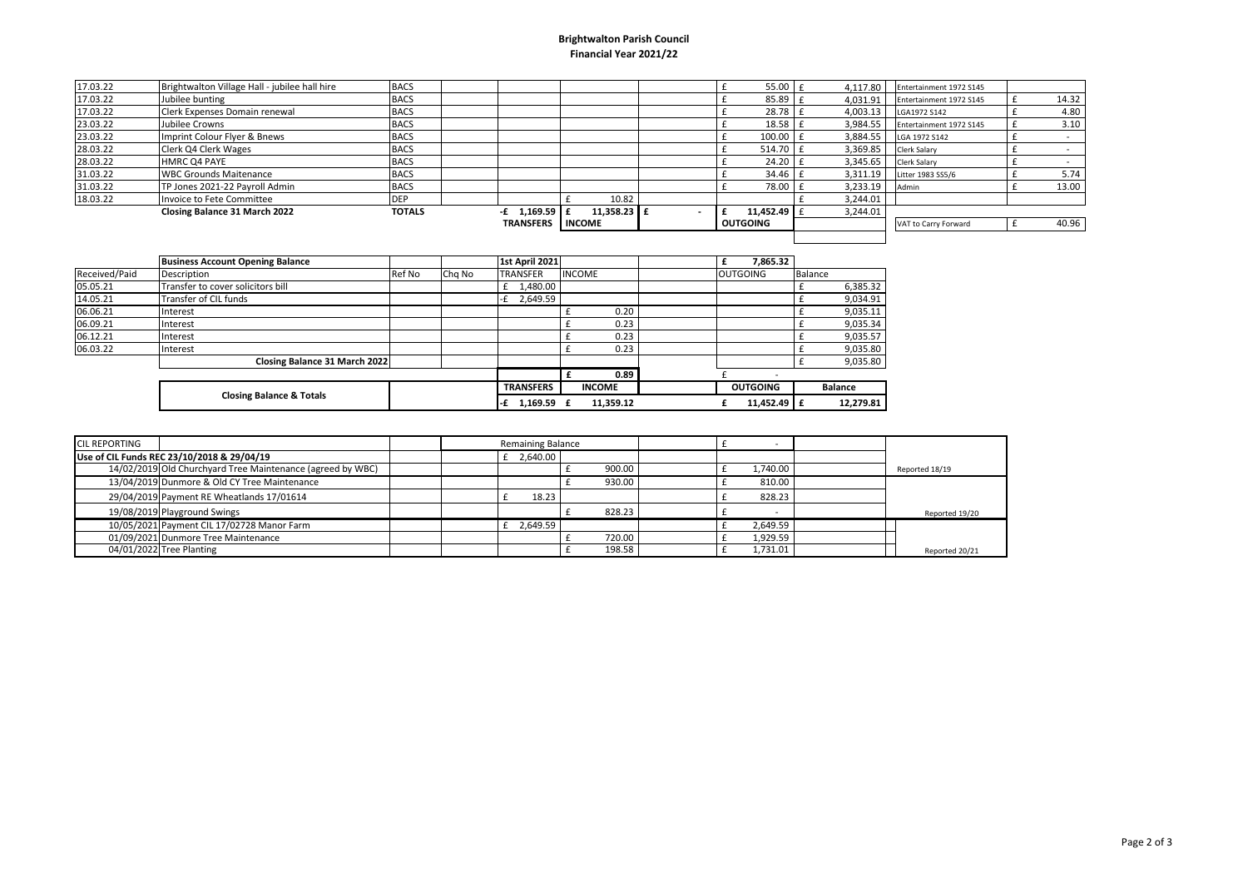## **Brightwalton Parish Council Financial Year 2021/22**

| 17.03.22 | Brightwalton Village Hall - jubilee hall hire | <b>BACS</b>   |                    |               |                          | $55.00 \text{ t}$ | 4.117.80       | Entertainment 1972 S145 |       |
|----------|-----------------------------------------------|---------------|--------------------|---------------|--------------------------|-------------------|----------------|-------------------------|-------|
| 17.03.22 | Jubilee bunting                               | <b>BACS</b>   |                    |               |                          | 85.89             | 4,031.91       | Entertainment 1972 S145 | 14.32 |
| 17.03.22 | Clerk Expenses Domain renewal                 | <b>BACS</b>   |                    |               |                          | 28.78             | 4,003.13       | LGA1972 S142            | 4.80  |
| 23.03.22 | Jubilee Crowns                                | <b>BACS</b>   |                    |               |                          | $18.58$ f         | 3,984.55       | Entertainment 1972 S145 | 3.10  |
| 23.03.22 | Imprint Colour Flyer & Bnews                  | <b>BACS</b>   |                    |               |                          | $100.00$ f        | 3.884.55       | LGA 1972 S142           |       |
| 28.03.22 | Clerk Q4 Clerk Wages                          | <b>BACS</b>   |                    |               |                          | $514.70$ f        | 3,369.85       | Clerk Salary            |       |
| 28.03.22 | <b>HMRC Q4 PAYE</b>                           | <b>BACS</b>   |                    |               |                          | $24.20$ f         |                | 3,345.65 Clerk Salary   |       |
| 31.03.22 | <b>WBC Grounds Maitenance</b>                 | <b>BACS</b>   |                    |               |                          | 34.46             | 3,311.19       | Litter 1983 SS5/6       | 5.74  |
| 31.03.22 | TP Jones 2021-22 Payroll Admin                | <b>BACS</b>   |                    |               |                          | 78.00             | 3,233.19 Admin |                         | 13.00 |
| 18.03.22 | Invoice to Fete Committee                     | <b>DEP</b>    |                    | 10.82         |                          |                   | 3,244.01       |                         |       |
|          | Closing Balance 31 March 2022                 | <b>TOTALS</b> | $1,169.59$ f<br>-£ | 11.358.23 $E$ | $\overline{\phantom{0}}$ | 11,452.49 $E$     | 3,244.01       |                         |       |
|          |                                               |               | <b>TRANSFERS</b>   | <b>INCOME</b> |                          | <b>OUTGOING</b>   |                | VAT to Carry Forward    | 40.96 |
|          |                                               |               |                    |               |                          |                   |                |                         |       |

|               | <b>Business Account Opening Balance</b> |        |        | <b>1st April 2021</b> |               |               | 7.865.32        |                |           |
|---------------|-----------------------------------------|--------|--------|-----------------------|---------------|---------------|-----------------|----------------|-----------|
| Received/Paid | Description                             | Ref No | Chg No | <b>TRANSFER</b>       | <b>INCOME</b> |               | <b>OUTGOING</b> | <b>Balance</b> |           |
| 05.05.21      | Transfer to cover solicitors bill       |        |        | £ 1,480.00            |               |               |                 |                | 6,385.32  |
| 14.05.21      | Transfer of CIL funds                   |        |        | 2,649.59<br>-£        |               |               |                 |                | 9,034.91  |
| 06.06.21      | Interest                                |        |        |                       |               | 0.20          |                 |                | 9,035.11  |
| 06.09.21      | Interest                                |        |        |                       |               | 0.23          |                 |                | 9,035.34  |
| 06.12.21      | Interest                                |        |        |                       |               | 0.23          |                 |                | 9,035.57  |
| 06.03.22      | Interest                                |        |        |                       |               | 0.23          |                 |                | 9,035.80  |
|               | Closing Balance 31 March 2022           |        |        |                       |               |               |                 |                | 9,035.80  |
|               |                                         |        |        |                       |               | 0.89          |                 |                |           |
|               |                                         |        |        | <b>TRANSFERS</b>      |               | <b>INCOME</b> | <b>OUTGOING</b> | <b>Balance</b> |           |
|               | <b>Closing Balance &amp; Totals</b>     |        |        | 1,169.59<br>-£        |               | 11,359.12     | 11,452.49 E     |                | 12,279.81 |

| <b>CIL REPORTING</b>                       |                                                            | <b>Remaining Balance</b> |        |          |                |
|--------------------------------------------|------------------------------------------------------------|--------------------------|--------|----------|----------------|
| Use of CIL Funds REC 23/10/2018 & 29/04/19 |                                                            | £ $2,640.00$             |        |          |                |
|                                            | 14/02/2019 Old Churchyard Tree Maintenance (agreed by WBC) |                          | 900.00 | 1.740.00 | Reported 18/19 |
|                                            | 13/04/2019 Dunmore & Old CY Tree Maintenance               |                          | 930.00 | 810.00   |                |
|                                            | 29/04/2019 Payment RE Wheatlands 17/01614                  | 18.23                    |        | 828.23   |                |
|                                            | 19/08/2019 Playground Swings                               |                          | 828.23 |          | Reported 19/20 |
|                                            | 10/05/2021 Payment CIL 17/02728 Manor Farm                 | 2.649.59                 |        | 2.649.59 |                |
|                                            | 01/09/2021 Dunmore Tree Maintenance                        |                          | 720.00 | 1,929.59 |                |
|                                            | 04/01/2022 Tree Planting                                   |                          | 198.58 | 1,731.01 | Reported 20/21 |